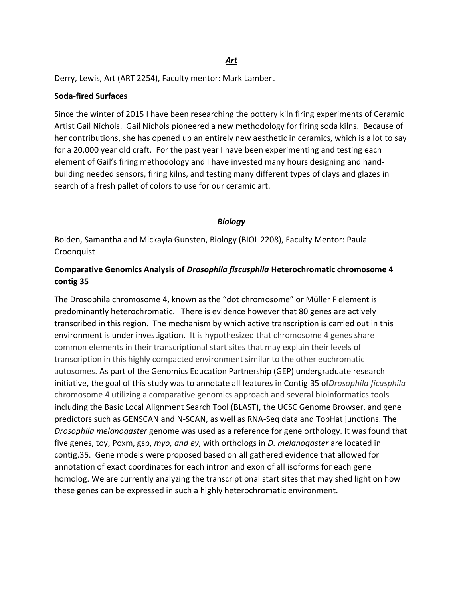Derry, Lewis, Art (ART 2254), Faculty mentor: Mark Lambert

#### **Soda-fired Surfaces**

Since the winter of 2015 I have been researching the pottery kiln firing experiments of Ceramic Artist Gail Nichols. Gail Nichols pioneered a new methodology for firing soda kilns. Because of her contributions, she has opened up an entirely new aesthetic in ceramics, which is a lot to say for a 20,000 year old craft. For the past year I have been experimenting and testing each element of Gail's firing methodology and I have invested many hours designing and handbuilding needed sensors, firing kilns, and testing many different types of clays and glazes in search of a fresh pallet of colors to use for our ceramic art.

#### *Biology*

Bolden, Samantha and Mickayla Gunsten, Biology (BIOL 2208), Faculty Mentor: Paula Croonquist

### **Comparative Genomics Analysis of** *Drosophila fiscusphila* **Heterochromatic chromosome 4 contig 35**

The Drosophila chromosome 4, known as the "dot chromosome" or Müller F element is predominantly heterochromatic. There is evidence however that 80 genes are actively transcribed in this region. The mechanism by which active transcription is carried out in this environment is under investigation. It is hypothesized that chromosome 4 genes share common elements in their transcriptional start sites that may explain their levels of transcription in this highly compacted environment similar to the other euchromatic autosomes. As part of the Genomics Education Partnership (GEP) undergraduate research initiative, the goal of this study was to annotate all features in Contig 35 of*Drosophila ficusphila* chromosome 4 utilizing a comparative genomics approach and several bioinformatics tools including the Basic Local Alignment Search Tool (BLAST), the UCSC Genome Browser, and gene predictors such as GENSCAN and N-SCAN, as well as RNA-Seq data and TopHat junctions. The *Drosophila melanogaster* genome was used as a reference for gene orthology. It was found that five genes, toy, Poxm, gsp, *myo, and ey*, with orthologs in *D. melanogaster* are located in contig.35. Gene models were proposed based on all gathered evidence that allowed for annotation of exact coordinates for each intron and exon of all isoforms for each gene homolog. We are currently analyzing the transcriptional start sites that may shed light on how these genes can be expressed in such a highly heterochromatic environment.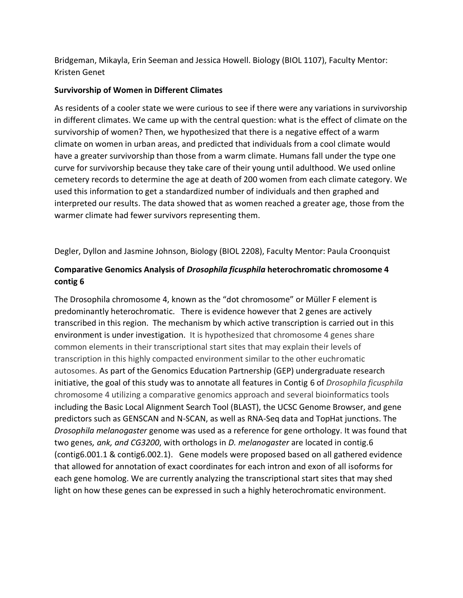Bridgeman, Mikayla, Erin Seeman and Jessica Howell. Biology (BIOL 1107), Faculty Mentor: Kristen Genet

### **Survivorship of Women in Different Climates**

As residents of a cooler state we were curious to see if there were any variations in survivorship in different climates. We came up with the central question: what is the effect of climate on the survivorship of women? Then, we hypothesized that there is a negative effect of a warm climate on women in urban areas, and predicted that individuals from a cool climate would have a greater survivorship than those from a warm climate. Humans fall under the type one curve for survivorship because they take care of their young until adulthood. We used online cemetery records to determine the age at death of 200 women from each climate category. We used this information to get a standardized number of individuals and then graphed and interpreted our results. The data showed that as women reached a greater age, those from the warmer climate had fewer survivors representing them.

Degler, Dyllon and Jasmine Johnson, Biology (BIOL 2208), Faculty Mentor: Paula Croonquist

# **Comparative Genomics Analysis of** *Drosophila ficusphila* **heterochromatic chromosome 4 contig 6**

The Drosophila chromosome 4, known as the "dot chromosome" or Müller F element is predominantly heterochromatic. There is evidence however that 2 genes are actively transcribed in this region. The mechanism by which active transcription is carried out in this environment is under investigation. It is hypothesized that chromosome 4 genes share common elements in their transcriptional start sites that may explain their levels of transcription in this highly compacted environment similar to the other euchromatic autosomes. As part of the Genomics Education Partnership (GEP) undergraduate research initiative, the goal of this study was to annotate all features in Contig 6 of *Drosophila ficusphila*  chromosome 4 utilizing a comparative genomics approach and several bioinformatics tools including the Basic Local Alignment Search Tool (BLAST), the UCSC Genome Browser, and gene predictors such as GENSCAN and N-SCAN, as well as RNA-Seq data and TopHat junctions. The *Drosophila melanogaster* genome was used as a reference for gene orthology. It was found that two genes*, ank, and CG3200*, with orthologs in *D. melanogaster* are located in contig.6 (contig6.001.1 & contig6.002.1). Gene models were proposed based on all gathered evidence that allowed for annotation of exact coordinates for each intron and exon of all isoforms for each gene homolog. We are currently analyzing the transcriptional start sites that may shed light on how these genes can be expressed in such a highly heterochromatic environment.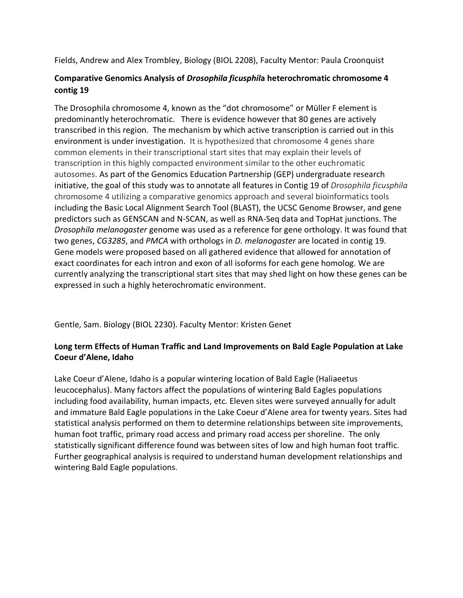Fields, Andrew and Alex Trombley, Biology (BIOL 2208), Faculty Mentor: Paula Croonquist

### **Comparative Genomics Analysis of** *Drosophila ficusphil***a heterochromatic chromosome 4 contig 19**

The Drosophila chromosome 4, known as the "dot chromosome" or Müller F element is predominantly heterochromatic. There is evidence however that 80 genes are actively transcribed in this region. The mechanism by which active transcription is carried out in this environment is under investigation. It is hypothesized that chromosome 4 genes share common elements in their transcriptional start sites that may explain their levels of transcription in this highly compacted environment similar to the other euchromatic autosomes. As part of the Genomics Education Partnership (GEP) undergraduate research initiative, the goal of this study was to annotate all features in Contig 19 of *Drosophila ficusphila*  chromosome 4 utilizing a comparative genomics approach and several bioinformatics tools including the Basic Local Alignment Search Tool (BLAST), the UCSC Genome Browser, and gene predictors such as GENSCAN and N-SCAN, as well as RNA-Seq data and TopHat junctions. The *Drosophila melanogaster* genome was used as a reference for gene orthology. It was found that two genes, *CG3285*, and *PMCA* with orthologs in *D. melanogaster* are located in contig 19. Gene models were proposed based on all gathered evidence that allowed for annotation of exact coordinates for each intron and exon of all isoforms for each gene homolog. We are currently analyzing the transcriptional start sites that may shed light on how these genes can be expressed in such a highly heterochromatic environment.

Gentle, Sam. Biology (BIOL 2230). Faculty Mentor: Kristen Genet

### **Long term Effects of Human Traffic and Land Improvements on Bald Eagle Population at Lake Coeur d'Alene, Idaho**

Lake Coeur d'Alene, Idaho is a popular wintering location of Bald Eagle (Haliaeetus leucocephalus). Many factors affect the populations of wintering Bald Eagles populations including food availability, human impacts, etc. Eleven sites were surveyed annually for adult and immature Bald Eagle populations in the Lake Coeur d'Alene area for twenty years. Sites had statistical analysis performed on them to determine relationships between site improvements, human foot traffic, primary road access and primary road access per shoreline. The only statistically significant difference found was between sites of low and high human foot traffic. Further geographical analysis is required to understand human development relationships and wintering Bald Eagle populations.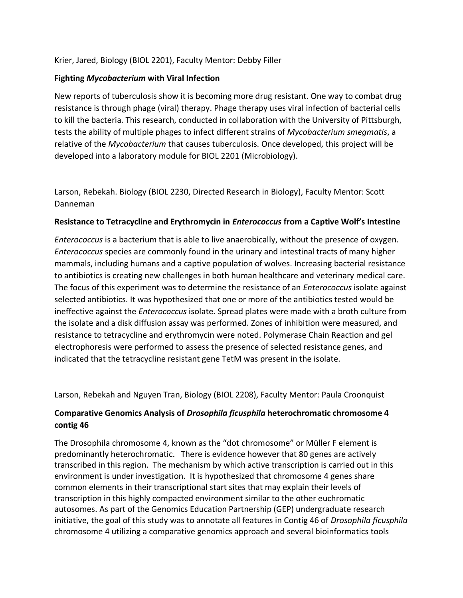#### Krier, Jared, Biology (BIOL 2201), Faculty Mentor: Debby Filler

#### **Fighting** *Mycobacterium* **with Viral Infection**

New reports of tuberculosis show it is becoming more drug resistant. One way to combat drug resistance is through phage (viral) therapy. Phage therapy uses viral infection of bacterial cells to kill the bacteria. This research, conducted in collaboration with the University of Pittsburgh, tests the ability of multiple phages to infect different strains of *Mycobacterium smegmatis*, a relative of the *Mycobacterium* that causes tuberculosis. Once developed, this project will be developed into a laboratory module for BIOL 2201 (Microbiology).

Larson, Rebekah. Biology (BIOL 2230, Directed Research in Biology), Faculty Mentor: Scott Danneman

#### **Resistance to Tetracycline and Erythromycin in** *Enterococcus* **from a Captive Wolf's Intestine**

*Enterococcus* is a bacterium that is able to live anaerobically, without the presence of oxygen. *Enterococcus* species are commonly found in the urinary and intestinal tracts of many higher mammals, including humans and a captive population of wolves. Increasing bacterial resistance to antibiotics is creating new challenges in both human healthcare and veterinary medical care. The focus of this experiment was to determine the resistance of an *Enterococcus* isolate against selected antibiotics. It was hypothesized that one or more of the antibiotics tested would be ineffective against the *Enterococcus* isolate. Spread plates were made with a broth culture from the isolate and a disk diffusion assay was performed. Zones of inhibition were measured, and resistance to tetracycline and erythromycin were noted. Polymerase Chain Reaction and gel electrophoresis were performed to assess the presence of selected resistance genes, and indicated that the tetracycline resistant gene TetM was present in the isolate.

Larson, Rebekah and Nguyen Tran, Biology (BIOL 2208), Faculty Mentor: Paula Croonquist

## **Comparative Genomics Analysis of** *Drosophila ficusphila* **heterochromatic chromosome 4 contig 46**

The Drosophila chromosome 4, known as the "dot chromosome" or Müller F element is predominantly heterochromatic. There is evidence however that 80 genes are actively transcribed in this region. The mechanism by which active transcription is carried out in this environment is under investigation. It is hypothesized that chromosome 4 genes share common elements in their transcriptional start sites that may explain their levels of transcription in this highly compacted environment similar to the other euchromatic autosomes. As part of the Genomics Education Partnership (GEP) undergraduate research initiative, the goal of this study was to annotate all features in Contig 46 of *Drosophila ficusphila*  chromosome 4 utilizing a comparative genomics approach and several bioinformatics tools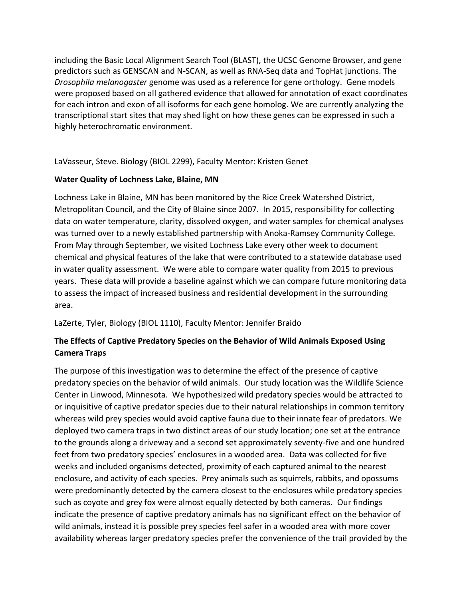including the Basic Local Alignment Search Tool (BLAST), the UCSC Genome Browser, and gene predictors such as GENSCAN and N-SCAN, as well as RNA-Seq data and TopHat junctions. The *Drosophila melanogaster* genome was used as a reference for gene orthology. Gene models were proposed based on all gathered evidence that allowed for annotation of exact coordinates for each intron and exon of all isoforms for each gene homolog. We are currently analyzing the transcriptional start sites that may shed light on how these genes can be expressed in such a highly heterochromatic environment.

LaVasseur, Steve. Biology (BIOL 2299), Faculty Mentor: Kristen Genet

## **Water Quality of Lochness Lake, Blaine, MN**

Lochness Lake in Blaine, MN has been monitored by the Rice Creek Watershed District, Metropolitan Council, and the City of Blaine since 2007. In 2015, responsibility for collecting data on water temperature, clarity, dissolved oxygen, and water samples for chemical analyses was turned over to a newly established partnership with Anoka-Ramsey Community College. From May through September, we visited Lochness Lake every other week to document chemical and physical features of the lake that were contributed to a statewide database used in water quality assessment. We were able to compare water quality from 2015 to previous years. These data will provide a baseline against which we can compare future monitoring data to assess the impact of increased business and residential development in the surrounding area.

LaZerte, Tyler, Biology (BIOL 1110), Faculty Mentor: Jennifer Braido

# **The Effects of Captive Predatory Species on the Behavior of Wild Animals Exposed Using Camera Traps**

The purpose of this investigation was to determine the effect of the presence of captive predatory species on the behavior of wild animals. Our study location was the Wildlife Science Center in Linwood, Minnesota. We hypothesized wild predatory species would be attracted to or inquisitive of captive predator species due to their natural relationships in common territory whereas wild prey species would avoid captive fauna due to their innate fear of predators. We deployed two camera traps in two distinct areas of our study location; one set at the entrance to the grounds along a driveway and a second set approximately seventy-five and one hundred feet from two predatory species' enclosures in a wooded area. Data was collected for five weeks and included organisms detected, proximity of each captured animal to the nearest enclosure, and activity of each species. Prey animals such as squirrels, rabbits, and opossums were predominantly detected by the camera closest to the enclosures while predatory species such as coyote and grey fox were almost equally detected by both cameras. Our findings indicate the presence of captive predatory animals has no significant effect on the behavior of wild animals, instead it is possible prey species feel safer in a wooded area with more cover availability whereas larger predatory species prefer the convenience of the trail provided by the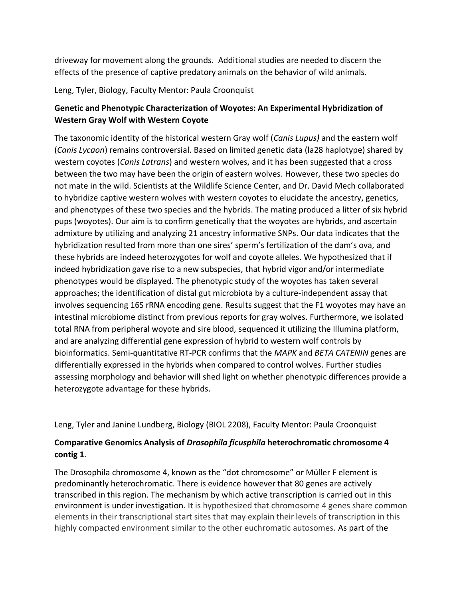driveway for movement along the grounds. Additional studies are needed to discern the effects of the presence of captive predatory animals on the behavior of wild animals.

Leng, Tyler, Biology, Faculty Mentor: Paula Croonquist

# **Genetic and Phenotypic Characterization of Woyotes: An Experimental Hybridization of Western Gray Wolf with Western Coyote**

The taxonomic identity of the historical western Gray wolf (*Canis Lupus)* and the eastern wolf (*Canis Lycaon*) remains controversial. Based on limited genetic data (la28 haplotype) shared by western coyotes (*Canis Latrans*) and western wolves, and it has been suggested that a cross between the two may have been the origin of eastern wolves. However, these two species do not mate in the wild. Scientists at the Wildlife Science Center, and Dr. David Mech collaborated to hybridize captive western wolves with western coyotes to elucidate the ancestry, genetics, and phenotypes of these two species and the hybrids. The mating produced a litter of six hybrid pups (woyotes). Our aim is to confirm genetically that the woyotes are hybrids, and ascertain admixture by utilizing and analyzing 21 ancestry informative SNPs. Our data indicates that the hybridization resulted from more than one sires' sperm's fertilization of the dam's ova, and these hybrids are indeed heterozygotes for wolf and coyote alleles. We hypothesized that if indeed hybridization gave rise to a new subspecies, that hybrid vigor and/or intermediate phenotypes would be displayed. The phenotypic study of the woyotes has taken several approaches; the identification of distal gut microbiota by a culture-independent assay that involves sequencing 16S rRNA encoding gene. Results suggest that the F1 woyotes may have an intestinal microbiome distinct from previous reports for gray wolves. Furthermore, we isolated total RNA from peripheral woyote and sire blood, sequenced it utilizing the Illumina platform, and are analyzing differential gene expression of hybrid to western wolf controls by bioinformatics. Semi-quantitative RT-PCR confirms that the *MAPK* and *BETA CATENIN* genes are differentially expressed in the hybrids when compared to control wolves. Further studies assessing morphology and behavior will shed light on whether phenotypic differences provide a heterozygote advantage for these hybrids.

Leng, Tyler and Janine Lundberg, Biology (BIOL 2208), Faculty Mentor: Paula Croonquist

# **Comparative Genomics Analysis of** *Drosophila ficusphila* **heterochromatic chromosome 4 contig 1**.

The Drosophila chromosome 4, known as the "dot chromosome" or Müller F element is predominantly heterochromatic. There is evidence however that 80 genes are actively transcribed in this region. The mechanism by which active transcription is carried out in this environment is under investigation. It is hypothesized that chromosome 4 genes share common elements in their transcriptional start sites that may explain their levels of transcription in this highly compacted environment similar to the other euchromatic autosomes. As part of the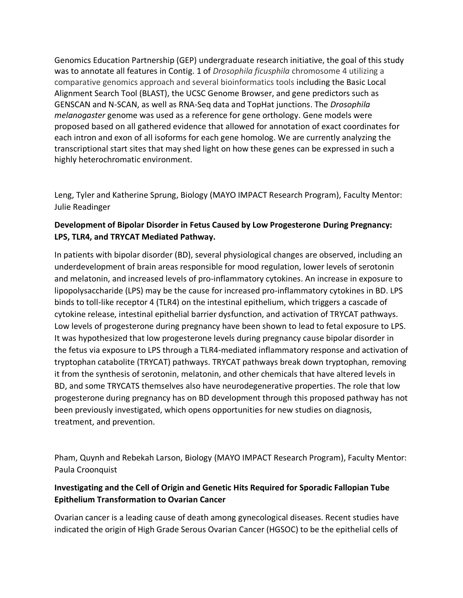Genomics Education Partnership (GEP) undergraduate research initiative, the goal of this study was to annotate all features in Contig. 1 of *Drosophila ficusphila* chromosome 4 utilizing a comparative genomics approach and several bioinformatics tools including the Basic Local Alignment Search Tool (BLAST), the UCSC Genome Browser, and gene predictors such as GENSCAN and N-SCAN, as well as RNA-Seq data and TopHat junctions. The *Drosophila melanogaster* genome was used as a reference for gene orthology. Gene models were proposed based on all gathered evidence that allowed for annotation of exact coordinates for each intron and exon of all isoforms for each gene homolog. We are currently analyzing the transcriptional start sites that may shed light on how these genes can be expressed in such a highly heterochromatic environment.

Leng, Tyler and Katherine Sprung, Biology (MAYO IMPACT Research Program), Faculty Mentor: Julie Readinger

# **Development of Bipolar Disorder in Fetus Caused by Low Progesterone During Pregnancy: LPS, TLR4, and TRYCAT Mediated Pathway.**

In patients with bipolar disorder (BD), several physiological changes are observed, including an underdevelopment of brain areas responsible for mood regulation, lower levels of serotonin and melatonin, and increased levels of pro-inflammatory cytokines. An increase in exposure to lipopolysaccharide (LPS) may be the cause for increased pro-inflammatory cytokines in BD. LPS binds to toll-like receptor 4 (TLR4) on the intestinal epithelium, which triggers a cascade of cytokine release, intestinal epithelial barrier dysfunction, and activation of TRYCAT pathways. Low levels of progesterone during pregnancy have been shown to lead to fetal exposure to LPS. It was hypothesized that low progesterone levels during pregnancy cause bipolar disorder in the fetus via exposure to LPS through a TLR4-mediated inflammatory response and activation of tryptophan catabolite (TRYCAT) pathways. TRYCAT pathways break down tryptophan, removing it from the synthesis of serotonin, melatonin, and other chemicals that have altered levels in BD, and some TRYCATS themselves also have neurodegenerative properties. The role that low progesterone during pregnancy has on BD development through this proposed pathway has not been previously investigated, which opens opportunities for new studies on diagnosis, treatment, and prevention.

Pham, Quynh and Rebekah Larson, Biology (MAYO IMPACT Research Program), Faculty Mentor: Paula Croonquist

# **Investigating and the Cell of Origin and Genetic Hits Required for Sporadic Fallopian Tube Epithelium Transformation to Ovarian Cancer**

Ovarian cancer is a leading cause of death among gynecological diseases. Recent studies have indicated the origin of High Grade Serous Ovarian Cancer (HGSOC) to be the epithelial cells of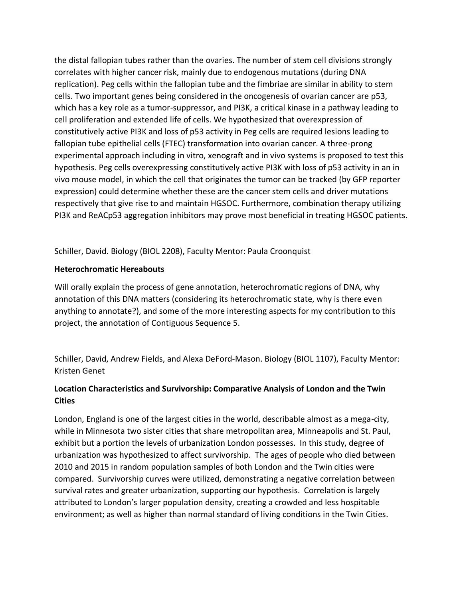the distal fallopian tubes rather than the ovaries. The number of stem cell divisions strongly correlates with higher cancer risk, mainly due to endogenous mutations (during DNA replication). Peg cells within the fallopian tube and the fimbriae are similar in ability to stem cells. Two important genes being considered in the oncogenesis of ovarian cancer are p53, which has a key role as a tumor-suppressor, and PI3K, a critical kinase in a pathway leading to cell proliferation and extended life of cells. We hypothesized that overexpression of constitutively active PI3K and loss of p53 activity in Peg cells are required lesions leading to fallopian tube epithelial cells (FTEC) transformation into ovarian cancer. A three-prong experimental approach including in vitro, xenograft and in vivo systems is proposed to test this hypothesis. Peg cells overexpressing constitutively active PI3K with loss of p53 activity in an in vivo mouse model, in which the cell that originates the tumor can be tracked (by GFP reporter expression) could determine whether these are the cancer stem cells and driver mutations respectively that give rise to and maintain HGSOC. Furthermore, combination therapy utilizing PI3K and ReACp53 aggregation inhibitors may prove most beneficial in treating HGSOC patients.

Schiller, David. Biology (BIOL 2208), Faculty Mentor: Paula Croonquist

### **Heterochromatic Hereabouts**

Will orally explain the process of gene annotation, heterochromatic regions of DNA, why annotation of this DNA matters (considering its heterochromatic state, why is there even anything to annotate?), and some of the more interesting aspects for my contribution to this project, the annotation of Contiguous Sequence 5.

Schiller, David, Andrew Fields, and Alexa DeFord-Mason. Biology (BIOL 1107), Faculty Mentor: Kristen Genet

# **Location Characteristics and Survivorship: Comparative Analysis of London and the Twin Cities**

London, England is one of the largest cities in the world, describable almost as a mega-city, while in Minnesota two sister cities that share metropolitan area, Minneapolis and St. Paul, exhibit but a portion the levels of urbanization London possesses. In this study, degree of urbanization was hypothesized to affect survivorship. The ages of people who died between 2010 and 2015 in random population samples of both London and the Twin cities were compared. Survivorship curves were utilized, demonstrating a negative correlation between survival rates and greater urbanization, supporting our hypothesis. Correlation is largely attributed to London's larger population density, creating a crowded and less hospitable environment; as well as higher than normal standard of living conditions in the Twin Cities.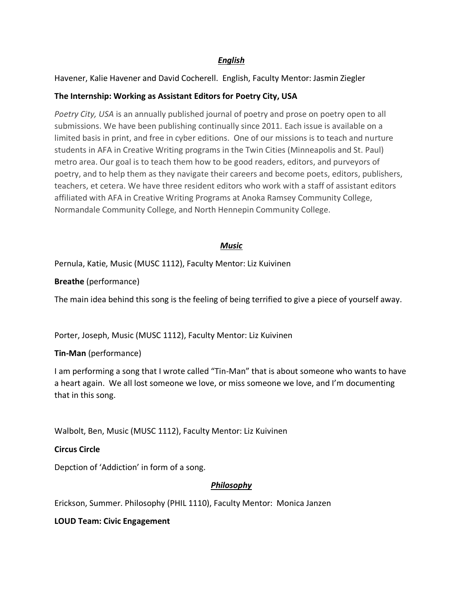## *English*

Havener, Kalie Havener and David Cocherell. English, Faculty Mentor: Jasmin Ziegler

### **The Internship: Working as Assistant Editors for Poetry City, USA**

*Poetry City, USA* is an annually published journal of poetry and prose on poetry open to all submissions. We have been publishing continually since 2011. Each issue is available on a limited basis in print, and free in cyber editions. One of our missions is to teach and nurture students in AFA in Creative Writing programs in the Twin Cities (Minneapolis and St. Paul) metro area. Our goal is to teach them how to be good readers, editors, and purveyors of poetry, and to help them as they navigate their careers and become poets, editors, publishers, teachers, et cetera. We have three resident editors who work with a staff of assistant editors affiliated with AFA in Creative Writing Programs at Anoka Ramsey Community College, Normandale Community College, and North Hennepin Community College.

#### *Music*

Pernula, Katie, Music (MUSC 1112), Faculty Mentor: Liz Kuivinen

**Breathe** (performance)

The main idea behind this song is the feeling of being terrified to give a piece of yourself away.

Porter, Joseph, Music (MUSC 1112), Faculty Mentor: Liz Kuivinen

**Tin-Man** (performance)

I am performing a song that I wrote called "Tin-Man" that is about someone who wants to have a heart again. We all lost someone we love, or miss someone we love, and I'm documenting that in this song.

Walbolt, Ben, Music (MUSC 1112), Faculty Mentor: Liz Kuivinen

**Circus Circle**

Depction of 'Addiction' in form of a song.

### *Philosophy*

Erickson, Summer. Philosophy (PHIL 1110), Faculty Mentor: Monica Janzen

**LOUD Team: Civic Engagement**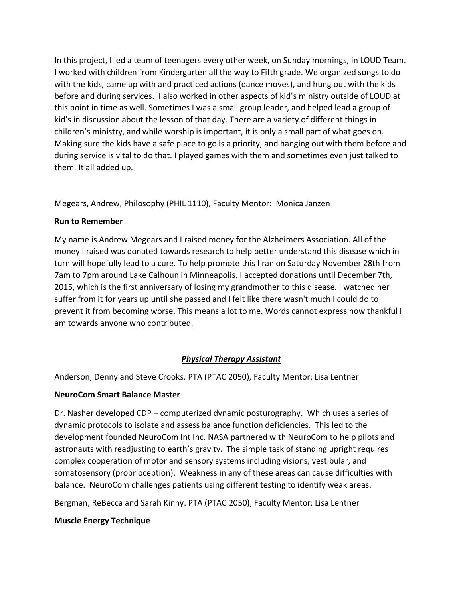In this project, I led a team of teenagers every other week, on Sunday mornings, in LOUD Team. I worked with children from Kindergarten all the way to Fifth grade. We organized songs to do with the kids, came up with and practiced actions (dance moves), and hung out with the kids before and during services. I also worked in other aspects of kid's ministry outside of LOUD at this point in time as well. Sometimes I was a small group leader, and helped lead a group of kid's in discussion about the lesson of that day. There are a variety of different things in children's ministry, and while worship is important, it is only a small part of what goes on. Making sure the kids have a safe place to go is a priority, and hanging out with them before and during service is vital to do that. I played games with them and sometimes even just talked to them. It all added up.

Megears, Andrew, Philosophy (PHIL 1110), Faculty Mentor: Monica Janzen

### **Run to Remember**

My name is Andrew Megears and I raised money for the Alzheimers Association. All of the money I raised was donated towards research to help better understand this disease which in turn will hopefully lead to a cure. To help promote this I ran on Saturday November 28th from 7am to 7pm around Lake Calhoun in Minneapolis. I accepted donations until December 7th, 2015, which is the first anniversary of losing my grandmother to this disease. I watched her suffer from it for years up until she passed and I felt like there wasn't much I could do to prevent it from becoming worse. This means a lot to me. Words cannot express how thankful I am towards anyone who contributed.

# *Physical Therapy Assistant*

Anderson, Denny and Steve Crooks. PTA (PTAC 2050), Faculty Mentor: Lisa Lentner

# **NeuroCom Smart Balance Master**

Dr. Nasher developed CDP – computerized dynamic posturography. Which uses a series of dynamic protocols to isolate and assess balance function deficiencies. This led to the development founded NeuroCom Int Inc. NASA partnered with NeuroCom to help pilots and astronauts with readjusting to earth's gravity. The simple task of standing upright requires complex cooperation of motor and sensory systems including visions, vestibular, and somatosensory (proprioception). Weakness in any of these areas can cause difficulties with balance. NeuroCom challenges patients using different testing to identify weak areas.

Bergman, ReBecca and Sarah Kinny. PTA (PTAC 2050), Faculty Mentor: Lisa Lentner

# **Muscle Energy Technique**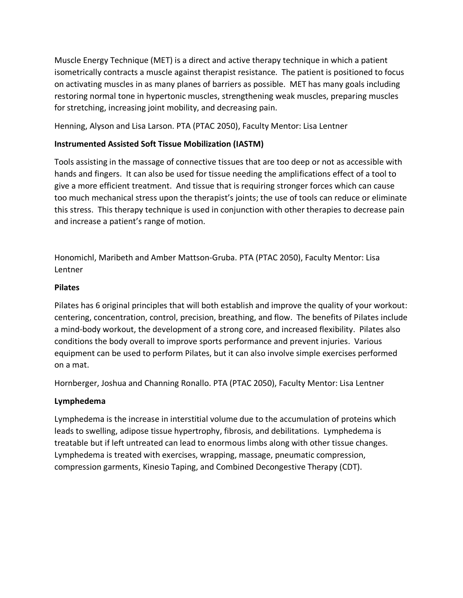Muscle Energy Technique (MET) is a direct and active therapy technique in which a patient isometrically contracts a muscle against therapist resistance. The patient is positioned to focus on activating muscles in as many planes of barriers as possible. MET has many goals including restoring normal tone in hypertonic muscles, strengthening weak muscles, preparing muscles for stretching, increasing joint mobility, and decreasing pain.

Henning, Alyson and Lisa Larson. PTA (PTAC 2050), Faculty Mentor: Lisa Lentner

### **Instrumented Assisted Soft Tissue Mobilization (IASTM)**

Tools assisting in the massage of connective tissues that are too deep or not as accessible with hands and fingers. It can also be used for tissue needing the amplifications effect of a tool to give a more efficient treatment. And tissue that is requiring stronger forces which can cause too much mechanical stress upon the therapist's joints; the use of tools can reduce or eliminate this stress. This therapy technique is used in conjunction with other therapies to decrease pain and increase a patient's range of motion.

Honomichl, Maribeth and Amber Mattson-Gruba. PTA (PTAC 2050), Faculty Mentor: Lisa Lentner

#### **Pilates**

Pilates has 6 original principles that will both establish and improve the quality of your workout: centering, concentration, control, precision, breathing, and flow. The benefits of Pilates include a mind-body workout, the development of a strong core, and increased flexibility. Pilates also conditions the body overall to improve sports performance and prevent injuries. Various equipment can be used to perform Pilates, but it can also involve simple exercises performed on a mat.

Hornberger, Joshua and Channing Ronallo. PTA (PTAC 2050), Faculty Mentor: Lisa Lentner

#### **Lymphedema**

Lymphedema is the increase in interstitial volume due to the accumulation of proteins which leads to swelling, adipose tissue hypertrophy, fibrosis, and debilitations. Lymphedema is treatable but if left untreated can lead to enormous limbs along with other tissue changes. Lymphedema is treated with exercises, wrapping, massage, pneumatic compression, compression garments, Kinesio Taping, and Combined Decongestive Therapy (CDT).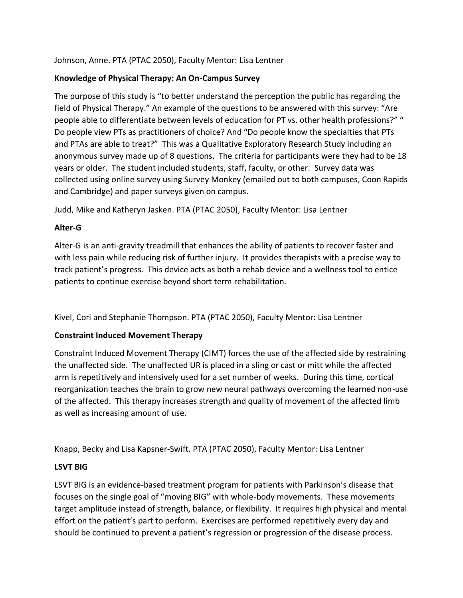Johnson, Anne. PTA (PTAC 2050), Faculty Mentor: Lisa Lentner

### **Knowledge of Physical Therapy: An On-Campus Survey**

The purpose of this study is "to better understand the perception the public has regarding the field of Physical Therapy." An example of the questions to be answered with this survey: "Are people able to differentiate between levels of education for PT vs. other health professions?" " Do people view PTs as practitioners of choice? And "Do people know the specialties that PTs and PTAs are able to treat?" This was a Qualitative Exploratory Research Study including an anonymous survey made up of 8 questions. The criteria for participants were they had to be 18 years or older. The student included students, staff, faculty, or other. Survey data was collected using online survey using Survey Monkey (emailed out to both campuses, Coon Rapids and Cambridge) and paper surveys given on campus.

Judd, Mike and Katheryn Jasken. PTA (PTAC 2050), Faculty Mentor: Lisa Lentner

#### **Alter-G**

Alter-G is an anti-gravity treadmill that enhances the ability of patients to recover faster and with less pain while reducing risk of further injury. It provides therapists with a precise way to track patient's progress. This device acts as both a rehab device and a wellness tool to entice patients to continue exercise beyond short term rehabilitation.

Kivel, Cori and Stephanie Thompson. PTA (PTAC 2050), Faculty Mentor: Lisa Lentner

### **Constraint Induced Movement Therapy**

Constraint Induced Movement Therapy (CIMT) forces the use of the affected side by restraining the unaffected side. The unaffected UR is placed in a sling or cast or mitt while the affected arm is repetitively and intensively used for a set number of weeks. During this time, cortical reorganization teaches the brain to grow new neural pathways overcoming the learned non-use of the affected. This therapy increases strength and quality of movement of the affected limb as well as increasing amount of use.

Knapp, Becky and Lisa Kapsner-Swift. PTA (PTAC 2050), Faculty Mentor: Lisa Lentner

### **LSVT BIG**

LSVT BIG is an evidence-based treatment program for patients with Parkinson's disease that focuses on the single goal of "moving BIG" with whole-body movements. These movements target amplitude instead of strength, balance, or flexibility. It requires high physical and mental effort on the patient's part to perform. Exercises are performed repetitively every day and should be continued to prevent a patient's regression or progression of the disease process.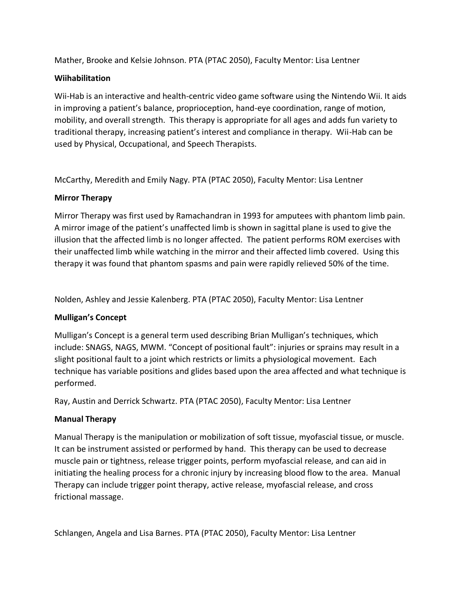Mather, Brooke and Kelsie Johnson. PTA (PTAC 2050), Faculty Mentor: Lisa Lentner

### **Wiihabilitation**

Wii-Hab is an interactive and health-centric video game software using the Nintendo Wii. It aids in improving a patient's balance, proprioception, hand-eye coordination, range of motion, mobility, and overall strength. This therapy is appropriate for all ages and adds fun variety to traditional therapy, increasing patient's interest and compliance in therapy. Wii-Hab can be used by Physical, Occupational, and Speech Therapists.

McCarthy, Meredith and Emily Nagy. PTA (PTAC 2050), Faculty Mentor: Lisa Lentner

## **Mirror Therapy**

Mirror Therapy was first used by Ramachandran in 1993 for amputees with phantom limb pain. A mirror image of the patient's unaffected limb is shown in sagittal plane is used to give the illusion that the affected limb is no longer affected. The patient performs ROM exercises with their unaffected limb while watching in the mirror and their affected limb covered. Using this therapy it was found that phantom spasms and pain were rapidly relieved 50% of the time.

Nolden, Ashley and Jessie Kalenberg. PTA (PTAC 2050), Faculty Mentor: Lisa Lentner

# **Mulligan's Concept**

Mulligan's Concept is a general term used describing Brian Mulligan's techniques, which include: SNAGS, NAGS, MWM. "Concept of positional fault": injuries or sprains may result in a slight positional fault to a joint which restricts or limits a physiological movement. Each technique has variable positions and glides based upon the area affected and what technique is performed.

Ray, Austin and Derrick Schwartz. PTA (PTAC 2050), Faculty Mentor: Lisa Lentner

# **Manual Therapy**

Manual Therapy is the manipulation or mobilization of soft tissue, myofascial tissue, or muscle. It can be instrument assisted or performed by hand. This therapy can be used to decrease muscle pain or tightness, release trigger points, perform myofascial release, and can aid in initiating the healing process for a chronic injury by increasing blood flow to the area. Manual Therapy can include trigger point therapy, active release, myofascial release, and cross frictional massage.

Schlangen, Angela and Lisa Barnes. PTA (PTAC 2050), Faculty Mentor: Lisa Lentner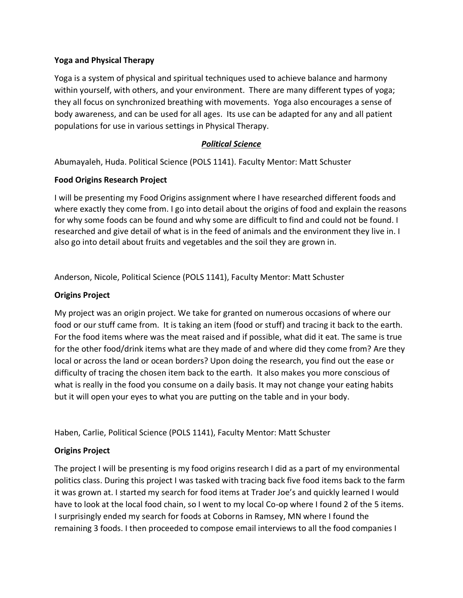#### **Yoga and Physical Therapy**

Yoga is a system of physical and spiritual techniques used to achieve balance and harmony within yourself, with others, and your environment. There are many different types of yoga; they all focus on synchronized breathing with movements. Yoga also encourages a sense of body awareness, and can be used for all ages. Its use can be adapted for any and all patient populations for use in various settings in Physical Therapy.

### *Political Science*

Abumayaleh, Huda. Political Science (POLS 1141). Faculty Mentor: Matt Schuster

#### **Food Origins Research Project**

I will be presenting my Food Origins assignment where I have researched different foods and where exactly they come from. I go into detail about the origins of food and explain the reasons for why some foods can be found and why some are difficult to find and could not be found. I researched and give detail of what is in the feed of animals and the environment they live in. I also go into detail about fruits and vegetables and the soil they are grown in.

Anderson, Nicole, Political Science (POLS 1141), Faculty Mentor: Matt Schuster

### **Origins Project**

My project was an origin project. We take for granted on numerous occasions of where our food or our stuff came from. It is taking an item (food or stuff) and tracing it back to the earth. For the food items where was the meat raised and if possible, what did it eat. The same is true for the other food/drink items what are they made of and where did they come from? Are they local or across the land or ocean borders? Upon doing the research, you find out the ease or difficulty of tracing the chosen item back to the earth. It also makes you more conscious of what is really in the food you consume on a daily basis. It may not change your eating habits but it will open your eyes to what you are putting on the table and in your body.

Haben, Carlie, Political Science (POLS 1141), Faculty Mentor: Matt Schuster

### **Origins Project**

The project I will be presenting is my food origins research I did as a part of my environmental politics class. During this project I was tasked with tracing back five food items back to the farm it was grown at. I started my search for food items at Trader Joe's and quickly learned I would have to look at the local food chain, so I went to my local Co-op where I found 2 of the 5 items. I surprisingly ended my search for foods at Coborns in Ramsey, MN where I found the remaining 3 foods. I then proceeded to compose email interviews to all the food companies I